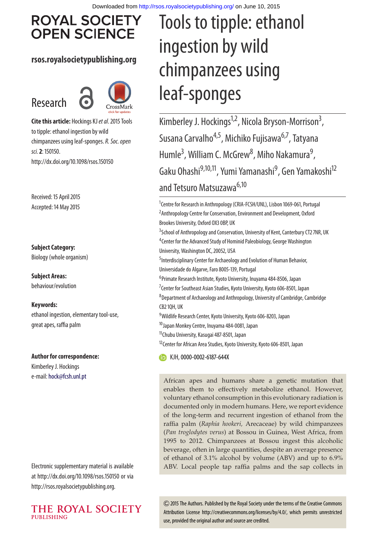# **ROYAL SOCIETY OPEN SCIENCE**

### **rsos.royalsocietypublishing.org**

# Research



**Cite this article:** Hockings KJ et al. 2015 Tools to tipple: ethanol ingestion by wild chimpanzees using leaf-sponges. R. Soc. open sci.**2**: 150150. http://dx.doi.org/10.1098/rsos.150150

Received: 15 April 2015 Accepted: 14 May 2015

### **Subject Category:**

Biology (whole organism)

**Subject Areas:** behaviour/evolution

### **Keywords:**

ethanol ingestion, elementary tool-use, great apes, raffia palm

#### **Author for correspondence:**

Kimberley J. Hockings e-mail: [hock@fcsh.unl.pt](mailto:hock@fcsh.unl.pt)

Electronic supplementary material is available at http://dx.doi.org/10.1098/rsos.150150 or via http://rsos.royalsocietypublishing.org.



# Tools to tipple: ethanol ingestion by wild chimpanzees using leaf-sponges

Kimberley J. Hockings<sup>1,2</sup>, Nicola Bryson-Morrison<sup>3</sup>, , Susana Carvalho<sup>4,5</sup>, Michiko Fujisawa<sup>6,7</sup>, Tatyana Humle<sup>3</sup>, William C. McGrew<sup>8</sup>, Miho Nakamura<sup>9</sup> , Gaku Ohashi<sup>9,10,11</sup>, Yumi Yamanashi<sup>9</sup>, Gen Yamakoshi<sup>12</sup> and Tetsuro Matsuzawa<sup>6,10</sup>

<sup>1</sup>Centre for Research in Anthropology (CRIA-FCSH/UNL), Lisbon 1069-061, Portugal <sup>2</sup> Anthropology Centre for Conservation, Environment and Development, Oxford Brookes University, Oxford OX3 0BP, UK <sup>3</sup> School of Anthropology and Conservation, University of Kent, Canterbury CT2 7NR, UK <sup>4</sup> Center for the Advanced Study of Hominid Paleobiology, George Washington University, Washington DC, 20052, USA <sup>5</sup> Interdisciplinary Center for Archaeology and Evolution of Human Behavior, Universidade do Algarve, Faro 8005-139, Portugal <sup>6</sup> Primate Research Institute, Kyoto University, Inuyama 484-8506, Japan <sup>7</sup> Center for Southeast Asian Studies, Kyoto University, Kyoto 606-8501, Japan 8 Department of Archaeology and Anthropology, University of Cambridge, Cambridge CB2 1QH, UK <sup>9</sup>Wildlife Research Center, Kyoto University, Kyoto 606-8203, Japan <sup>10</sup> Japan Monkey Centre, Inuyama 484-0081, Japan <sup>11</sup>Chubu University, Kasugai 487-8501, Japan <sup>12</sup> Center for African Area Studies, Kyoto University, Kyoto 606-8501, Japan **TD** KJH, [0000-0002-6187-644X](http://orcid.org/0000-0002-6187-644X)

African apes and humans share a genetic mutation that enables them to effectively metabolize ethanol. However, voluntary ethanol consumption in this evolutionary radiation is documented only in modern humans. Here, we report evidence of the long-term and recurrent ingestion of ethanol from the raffia palm (*Raphia hookeri,* Arecaceae) by wild chimpanzees (*Pan troglodytes verus*) at Bossou in Guinea, West Africa, from 1995 to 2012. Chimpanzees at Bossou ingest this alcoholic beverage, often in large quantities, despite an average presence of ethanol of 3.1% alcohol by volume (ABV) and up to 6.9% ABV. Local people tap raffia palms and the sap collects in

2015 The Authors. Published by the Royal Society under the terms of the Creative Commons Attribution License http://creativecommons.org/licenses/by/4.0/, which permits unrestricted use, provided the original author and source are credited.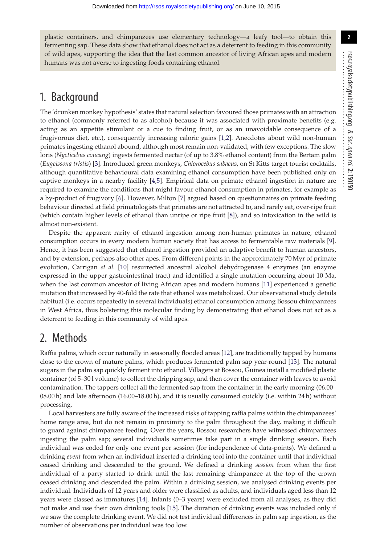plastic containers, and chimpanzees use elementary technology—a leafy tool—to obtain this fermenting sap. These data show that ethanol does not act as a deterrent to feeding in this community of wild apes, supporting the idea that the last common ancestor of living African apes and modern humans was not averse to ingesting foods containing ethanol.

## 1. Background

The 'drunken monkey hypothesis' states that natural selection favoured those primates with an attraction to ethanol (commonly referred to as alcohol) because it was associated with proximate benefits (e.g. acting as an appetite stimulant or a cue to finding fruit, or as an unavoidable consequence of a frugivorous diet, etc.), consequently increasing caloric gains [\[1,](#page-5-0)[2\]](#page-5-1). Anecdotes about wild non-human primates ingesting ethanol abound, although most remain non-validated, with few exceptions. The slow loris (*Nycticebus coucang*) ingests fermented nectar (of up to 3.8% ethanol content) from the Bertam palm (*Eugeissona tristis*) [\[3\]](#page-5-2). Introduced green monkeys, *Chlorocebus sabaeus*, on St Kitts target tourist cocktails, although quantitative behavioural data examining ethanol consumption have been published only on captive monkeys in a nearby facility [\[4,](#page-5-3)[5\]](#page-5-4). Empirical data on primate ethanol ingestion in nature are required to examine the conditions that might favour ethanol consumption in primates, for example as a by-product of frugivory [\[6\]](#page-5-5). However, Milton [\[7\]](#page-5-6) argued based on questionnaires on primate feeding behaviour directed at field primatologists that primates are not attracted to, and rarely eat, over-ripe fruit (which contain higher levels of ethanol than unripe or ripe fruit [\[8\]](#page-5-7)), and so intoxication in the wild is almost non-existent.

Despite the apparent rarity of ethanol ingestion among non-human primates in nature, ethanol consumption occurs in every modern human society that has access to fermentable raw materials [\[9\]](#page-5-8). Hence, it has been suggested that ethanol ingestion provided an adaptive benefit to human ancestors, and by extension, perhaps also other apes. From different points in the approximately 70 Myr of primate evolution, Carrigan *et al.* [\[10\]](#page-5-9) resurrected ancestral alcohol dehydrogenase 4 enzymes (an enzyme expressed in the upper gastrointestinal tract) and identified a single mutation occurring about 10 Ma, when the last common ancestor of living African apes and modern humans [\[11\]](#page-5-10) experienced a genetic mutation that increased by 40-fold the rate that ethanol was metabolized. Our observational study details habitual (i.e. occurs repeatedly in several individuals) ethanol consumption among Bossou chimpanzees in West Africa, thus bolstering this molecular finding by demonstrating that ethanol does not act as a deterrent to feeding in this community of wild apes.

## 2. Methods

Raffia palms, which occur naturally in seasonally flooded areas [\[12\]](#page-5-11), are traditionally tapped by humans close to the crown of mature palms, which produces fermented palm sap year-round [\[13\]](#page-5-12). The natural sugars in the palm sap quickly ferment into ethanol. Villagers at Bossou, Guinea install a modified plastic container (of 5–30 l volume) to collect the dripping sap, and then cover the container with leaves to avoid contamination. The tappers collect all the fermented sap from the container in the early morning (06.00– 08.00 h) and late afternoon (16.00–18.00 h), and it is usually consumed quickly (i.e. within 24 h) without processing.

Local harvesters are fully aware of the increased risks of tapping raffia palms within the chimpanzees' home range area, but do not remain in proximity to the palm throughout the day, making it difficult to guard against chimpanzee feeding. Over the years, Bossou researchers have witnessed chimpanzees ingesting the palm sap; several individuals sometimes take part in a single drinking session. Each individual was coded for only one event per session (for independence of data-points). We defined a drinking *event* from when an individual inserted a drinking tool into the container until that individual ceased drinking and descended to the ground. We defined a drinking *session* from when the first individual of a party started to drink until the last remaining chimpanzee at the top of the crown ceased drinking and descended the palm. Within a drinking session, we analysed drinking events per individual. Individuals of 12 years and older were classified as adults, and individuals aged less than 12 years were classed as immatures [\[14\]](#page-5-13). Infants (0–3 years) were excluded from all analyses, as they did not make and use their own drinking tools [\[15\]](#page-5-14). The duration of drinking events was included only if we saw the complete drinking event. We did not test individual differences in palm sap ingestion, as the number of observations per individual was too low.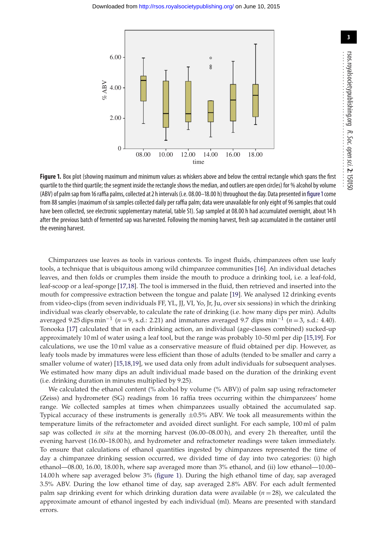

<span id="page-2-0"></span>**Figure 1.** Box plot (showing maximum and minimum values as whiskers above and below the central rectangle which spans the first quartile to the third quartile; the segment inside the rectangle shows the median, and outliers are open circles) for % alcohol by volume (ABV) of palmsap from 16 raffia palms, collected at 2 h intervals (i.e. 08.00–18.00 h) throughout the day. Data presented in [figure 1](#page-2-0)come from 88 samples (maximum of six samples collected daily per raffia palm; data were unavailable for only eight of 96 samples that could have been collected, see electronic supplementary material, table S1). Sap sampled at 08.00 h had accumulated overnight, about 14 h after the previous batch of fermented sap was harvested. Following the morning harvest, fresh sap accumulated in the container until the evening harvest.

Chimpanzees use leaves as tools in various contexts. To ingest fluids, chimpanzees often use leafy tools, a technique that is ubiquitous among wild chimpanzee communities [\[16\]](#page-5-15). An individual detaches leaves, and then folds or crumples them inside the mouth to produce a drinking tool, i.e. a leaf-fold, leaf-scoop or a leaf-sponge [\[17](#page-5-16)[,18\]](#page-5-17). The tool is immersed in the fluid, then retrieved and inserted into the mouth for compressive extraction between the tongue and palate [\[19\]](#page-5-18). We analysed 12 drinking events from video-clips (from seven individuals FF, YL, JJ, VI, Yo, Jr, Ju, over six sessions) in which the drinking individual was clearly observable, to calculate the rate of drinking (i.e. how many dips per min). Adults averaged 9.25 dips min−<sup>1</sup> (*<sup>n</sup>* <sup>=</sup> 9, s.d.: 2.21) and immatures averaged 9.7 dips min−<sup>1</sup> (*<sup>n</sup>* <sup>=</sup> 3, s.d.: 4.40). Tonooka [\[17\]](#page-5-16) calculated that in each drinking action, an individual (age-classes combined) sucked-up approximately 10 ml of water using a leaf tool, but the range was probably 10–50 ml per dip [\[15,](#page-5-14)[19\]](#page-5-18). For calculations, we use the 10 ml value as a conservative measure of fluid obtained per dip. However, as leafy tools made by immatures were less efficient than those of adults (tended to be smaller and carry a smaller volume of water) [\[15](#page-5-14)[,18,](#page-5-17)[19\]](#page-5-18), we used data only from adult individuals for subsequent analyses. We estimated how many dips an adult individual made based on the duration of the drinking event (i.e. drinking duration in minutes multiplied by 9.25).

We calculated the ethanol content (% alcohol by volume (% ABV)) of palm sap using refractometer (Zeiss) and hydrometer (SG) readings from 16 raffia trees occurring within the chimpanzees' home range. We collected samples at times when chimpanzees usually obtained the accumulated sap. Typical accuracy of these instruments is generally  $\pm 0.5\%$  ABV. We took all measurements within the temperature limits of the refractometer and avoided direct sunlight. For each sample, 100 ml of palm sap was collected *in situ* at the morning harvest (06.00–08.00 h), and every 2 h thereafter, until the evening harvest (16.00–18.00 h), and hydrometer and refractometer readings were taken immediately. To ensure that calculations of ethanol quantities ingested by chimpanzees represented the time of day a chimpanzee drinking session occurred, we divided time of day into two categories: (i) high ethanol—08.00, 16.00, 18.00 h, where sap averaged more than 3% ethanol, and (ii) low ethanol—10.00– 14.00 h where sap averaged below 3% [\(figure 1\)](#page-2-0). During the high ethanol time of day, sap averaged 3.5% ABV. During the low ethanol time of day, sap averaged 2.8% ABV. For each adult fermented palm sap drinking event for which drinking duration data were available  $(n = 28)$ , we calculated the approximate amount of ethanol ingested by each individual (ml). Means are presented with standard errors.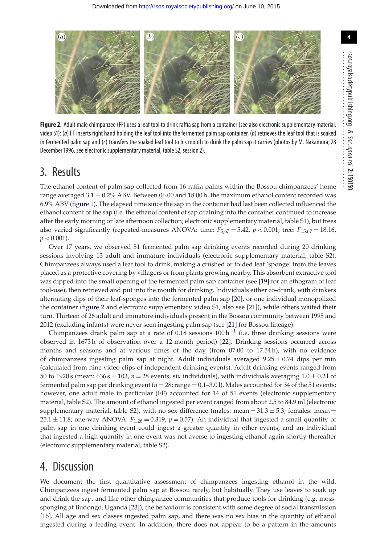

<span id="page-3-0"></span>**Figure 2.** Adult male chimpanzee (FF) uses a leaf tool to drink raffia sap from a container (see also electronic supplementary material, video S1): (a) FF inserts right hand holding the leaf tool into the fermented palm sap container, (b) retrieves the leaf tool that is soaked in fermented palm sap and (c) transfers the soaked leaf tool to his mouth to drink the palm sap it carries (photos by M. Nakamura, 28 December 1996, see electronic supplementary material, table S2, session 2).

## 3. Results

The ethanol content of palm sap collected from 16 raffia palms within the Bossou chimpanzees' home range averaged  $3.1 \pm 0.2\%$  ABV. Between 06.00 and 18.00 h, the maximum ethanol content recorded was 6.9% ABV [\(figure 1\)](#page-2-0). The elapsed time since the sap in the container had last been collected influenced the ethanol content of the sap (i.e. the ethanol content of sap draining into the container continued to increase after the early morning or late afternoon collection; electronic supplementary material, table S1), but trees also varied significantly (repeated-measures ANOVA: time:  $F_{5,67} = 5.42$ ,  $p < 0.001$ ; tree:  $F_{15,67} = 18.16$ ,  $p < 0.001$ ).

Over 17 years, we observed 51 fermented palm sap drinking events recorded during 20 drinking sessions involving 13 adult and immature individuals (electronic supplementary material, table S2). Chimpanzees always used a leaf tool to drink, making a crushed or folded leaf 'sponge' from the leaves placed as a protective covering by villagers or from plants growing nearby. This absorbent extractive tool was dipped into the small opening of the fermented palm sap container (see [\[19\]](#page-5-18) for an ethogram of leaf tool-use), then retrieved and put into the mouth for drinking. Individuals either co-drank, with drinkers alternating dips of their leaf-sponges into the fermented palm sap [\[20\]](#page-5-19), or one individual monopolized the container [\(figure 2](#page-3-0) and electronic supplementary video S1, also see [\[21\]](#page-5-20)), while others waited their turn. Thirteen of 26 adult and immature individuals present in the Bossou community between 1995 and 2012 (excluding infants) were never seen ingesting palm sap (see [\[21\]](#page-5-20) for Bossou lineage).

Chimpanzees drank palm sap at a rate of 0.18 sessions  $100 h^{-1}$  (i.e. three drinking sessions were observed in 1673 h of observation over a 12-month period) [\[22\]](#page-5-21). Drinking sessions occurred across months and seasons and at various times of the day (from 07.00 to 17.54 h), with no evidence of chimpanzees ingesting palm sap at night. Adult individuals averaged  $9.25 \pm 0.74$  dips per min (calculated from nine video-clips of independent drinking events). Adult drinking events ranged from 50 to 1920 s (mean:  $636 s \pm 103$ ,  $n = 28$  events, six individuals), with individuals averaging  $1.0 \pm 0.21$  of fermented palm sap per drinking event  $(n = 28; \text{range} = 0.1–3.01)$ . Males accounted for 34 of the 51 events; however, one adult male in particular (FF) accounted for 14 of 51 events (electronic supplementary material, table S2). The amount of ethanol ingested per event ranged from about 2.5 to 84.9 ml (electronic supplementary material, table S2), with no sex difference (males: mean =  $31.3 \pm 5.3$ ; females: mean = 25.1  $\pm$  11.8; one-way ANOVA:  $F_{1,26} = 0.319$ ,  $p = 0.57$ ). An individual that ingested a small quantity of palm sap in one drinking event could ingest a greater quantity in other events, and an individual that ingested a high quantity in one event was not averse to ingesting ethanol again shortly thereafter (electronic supplementary material, table S2).

### 4. Discussion

We document the first quantitative assessment of chimpanzees ingesting ethanol in the wild. Chimpanzees ingest fermented palm sap at Bossou rarely, but habitually. They use leaves to soak up and drink the sap, and like other chimpanzee communities that produce tools for drinking (e.g. mosssponging at Budongo, Uganda [\[23\]](#page-5-22)), the behaviour is consistent with some degree of social transmission [\[16\]](#page-5-15). All age and sex classes ingested palm sap, and there was no sex bias in the quantity of ethanol ingested during a feeding event. In addition, there does not appear to be a pattern in the amounts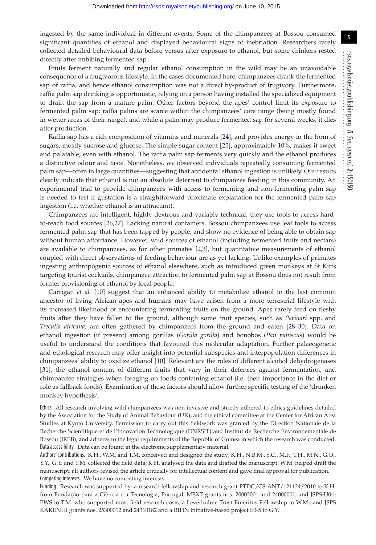ingested by the same individual in different events. Some of the chimpanzees at Bossou consumed significant quantities of ethanol and displayed behavioural signs of inebriation. Researchers rarely collected detailed behavioural data before versus after exposure to ethanol, but some drinkers rested directly after imbibing fermented sap.

Fruits ferment naturally and regular ethanol consumption in the wild may be an unavoidable consequence of a frugivorous lifestyle. In the cases documented here, chimpanzees drank the fermented sap of raffia, and hence ethanol consumption was not a direct by-product of frugivory. Furthermore, raffia palm sap drinking is opportunistic, relying on a person having installed the specialized equipment to drain the sap from a mature palm. Other factors beyond the apes' control limit its exposure to fermented palm sap: raffia palms are scarce within the chimpanzees' core range (being mostly found in wetter areas of their range), and while a palm may produce fermented sap for several weeks, it dies after production.

Raffia sap has a rich composition of vitamins and minerals [\[24\]](#page-5-23), and provides energy in the form of sugars, mostly sucrose and glucose. The simple sugar content [\[25\]](#page-5-24), approximately 10%, makes it sweet and palatable, even with ethanol. The raffia palm sap ferments very quickly and the ethanol produces a distinctive odour and taste. Nonetheless, we observed individuals repeatedly consuming fermented palm sap—often in large quantities—suggesting that accidental ethanol ingestion is unlikely. Our results clearly indicate that ethanol is not an absolute deterrent to chimpanzee feeding in this community. An experimental trial to provide chimpanzees with access to fermenting and non-fermenting palm sap is needed to test if gustation is a straightforward proximate explanation for the fermented palm sap ingestion (i.e. whether ethanol is an attractant).

Chimpanzees are intelligent, highly dextrous and variably technical; they use tools to access hardto-reach food sources [\[26,](#page-5-25)[27\]](#page-5-26). Lacking natural containers, Bossou chimpanzees use leaf tools to access fermented palm sap that has been tapped by people, and show no evidence of being able to obtain sap without human affordance. However, wild sources of ethanol (including fermented fruits and nectars) are available to chimpanzees, as for other primates [\[2](#page-5-1)[,3\]](#page-5-2), but quantitative measurements of ethanol coupled with direct observations of feeding behaviour are as yet lacking. Unlike examples of primates ingesting anthropogenic sources of ethanol elsewhere, such as introduced green monkeys at St Kitts targeting tourist cocktails, chimpanzee attraction to fermented palm sap at Bossou does not result from former provisioning of ethanol by local people.

Carrigan *et al.* [\[10\]](#page-5-9) suggest that an enhanced ability to metabolize ethanol in the last common ancestor of living African apes and humans may have arisen from a more terrestrial lifestyle with its increased likelihood of encountering fermenting fruits on the ground. Apes rarely feed on fleshy fruits after they have fallen to the ground, although some fruit species, such as *Parinari* spp. and *Treculia africana*, are often gathered by chimpanzees from the ground and eaten [\[28–](#page-5-27)[30\]](#page-5-28). Data on ethanol ingestion (if present) among gorillas (*Gorilla gorilla*) and bonobos (*Pan paniscus*) would be useful to understand the conditions that favoured this molecular adaptation. Further palaeogenetic and ethological research may offer insight into potential subspecies and interpopulation differences in chimpanzees' ability to oxidize ethanol [\[10\]](#page-5-9). Relevant are the roles of different alcohol dehydrogenases [\[31\]](#page-5-29), the ethanol content of different fruits that vary in their defences against fermentation, and chimpanzee strategies when foraging on foods containing ethanol (i.e. their importance in the diet or role as fallback foods). Examination of these factors should allow further specific testing of the 'drunken monkey hypothesis'.

Ethics. All research involving wild chimpanzees was non-invasive and strictly adhered to ethics guidelines detailed by the Association for the Study of Animal Behaviour (UK), and the ethical committee at the Center for African Area Studies at Kyoto University. Permission to carry out this fieldwork was granted by the Direction Nationale de la Recherche Scientifique et de l'Innovation Technologique (DNRSIT) and Institut de Recherche Environnementale de Bossou (IREB), and adheres to the legal requirements of the Republic of Guinea in which the research was conducted. Data accessibility. Data can be found in the electronic supplementary material.

Authors' contributions. K.H., W.M. and T.M. conceived and designed the study; K.H., N.B.M., S.C., M.F., T.H., M.N., G.O., Y.Y., G.Y. and T.M. collected the field data; K.H. analysed the data and drafted the manuscript; W.M. helped draft the manuscript; all authors revised the article critically for intellectual content and gave final approval for publication. Competing interests. We have no competing interests.

Funding. Research was supported by: a research fellowship and research grant PTDC/CS-ANT/121124/2010 to K.H. from Fundação para a Ciência e a Tecnologia, Portugal, MEXT grants nos. 20002001 and 24000001, and JSPS-U04- PWS to T.M. who supported most field research costs, a Leverhulme Trust Emeritus Fellowship to W.M., and JSPS KAKENHI grants nos. 25300012 and 24310182 and a RIHN initiative-based project E0-5 to G.Y.